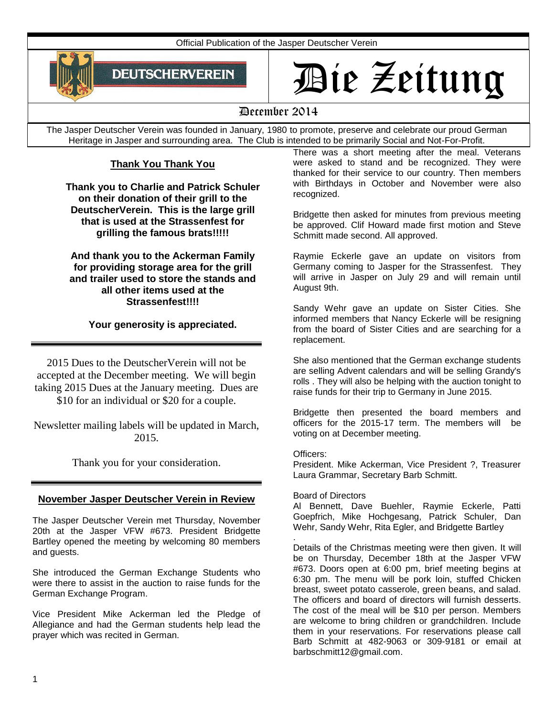Official Publication of the Jasper Deutscher Verein



# Die Zeitung

# December 2014

The Jasper Deutscher Verein was founded in January, 1980 to promote, preserve and celebrate our proud German Heritage in Jasper and surrounding area. The Club is intended to be primarily Social and Not-For-Profit.

# **Thank You Thank You**

**Thank you to Charlie and Patrick Schuler on their donation of their grill to the DeutscherVerein. This is the large grill that is used at the Strassenfest for grilling the famous brats!!!!!**

**And thank you to the Ackerman Family for providing storage area for the grill and trailer used to store the stands and all other items used at the Strassenfest!!!!**

**Your generosity is appreciated.**

2015 Dues to the DeutscherVerein will not be accepted at the December meeting. We will begin taking 2015 Dues at the January meeting. Dues are \$10 for an individual or \$20 for a couple.

Newsletter mailing labels will be updated in March, 2015.

Thank you for your consideration.

# **November Jasper Deutscher Verein in Review**

The Jasper Deutscher Verein met Thursday, November 20th at the Jasper VFW #673. President Bridgette Bartley opened the meeting by welcoming 80 members and guests.

She introduced the German Exchange Students who were there to assist in the auction to raise funds for the German Exchange Program.

Vice President Mike Ackerman led the Pledge of Allegiance and had the German students help lead the prayer which was recited in German.

There was a short meeting after the meal. Veterans were asked to stand and be recognized. They were thanked for their service to our country. Then members with Birthdays in October and November were also recognized.

Bridgette then asked for minutes from previous meeting be approved. Clif Howard made first motion and Steve Schmitt made second. All approved.

Raymie Eckerle gave an update on visitors from Germany coming to Jasper for the Strassenfest. They will arrive in Jasper on July 29 and will remain until August 9th.

Sandy Wehr gave an update on Sister Cities. She informed members that Nancy Eckerle will be resigning from the board of Sister Cities and are searching for a replacement.

She also mentioned that the German exchange students are selling Advent calendars and will be selling Grandy's rolls . They will also be helping with the auction tonight to raise funds for their trip to Germany in June 2015.

Bridgette then presented the board members and officers for the 2015-17 term. The members will be voting on at December meeting.

Officers:

President. Mike Ackerman, Vice President ?, Treasurer Laura Grammar, Secretary Barb Schmitt.

# Board of Directors

Al Bennett, Dave Buehler, Raymie Eckerle, Patti Goepfrich, Mike Hochgesang, Patrick Schuler, Dan Wehr, Sandy Wehr, Rita Egler, and Bridgette Bartley

. Details of the Christmas meeting were then given. It will be on Thursday, December 18th at the Jasper VFW #673. Doors open at 6:00 pm, brief meeting begins at 6:30 pm. The menu will be pork loin, stuffed Chicken breast, sweet potato casserole, green beans, and salad. The officers and board of directors will furnish desserts. The cost of the meal will be \$10 per person. Members are welcome to bring children or grandchildren. Include them in your reservations. For reservations please call Barb Schmitt at 482-9063 or 309-9181 or email at barbschmitt12@gmail.com.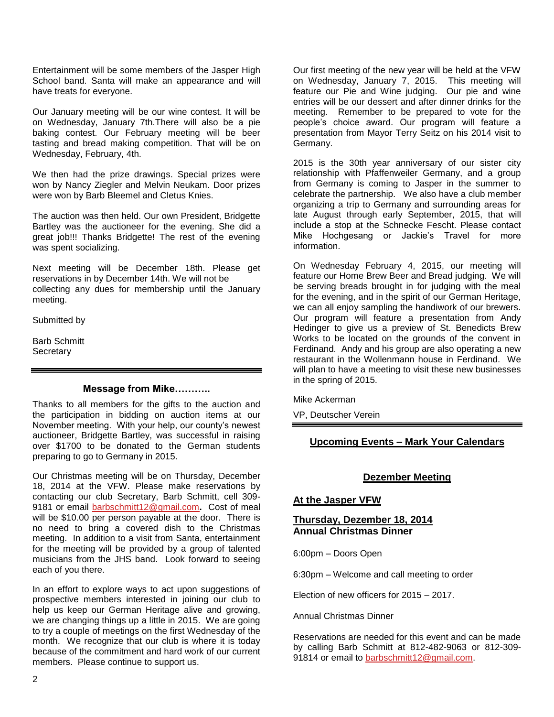Entertainment will be some members of the Jasper High School band. Santa will make an appearance and will have treats for everyone.

Our January meeting will be our wine contest. It will be on Wednesday, January 7th.There will also be a pie baking contest. Our February meeting will be beer tasting and bread making competition. That will be on Wednesday, February, 4th.

We then had the prize drawings. Special prizes were won by Nancy Ziegler and Melvin Neukam. Door prizes were won by Barb Bleemel and Cletus Knies.

The auction was then held. Our own President, Bridgette Bartley was the auctioneer for the evening. She did a great job!!! Thanks Bridgette! The rest of the evening was spent socializing.

Next meeting will be December 18th. Please get reservations in by December 14th. We will not be collecting any dues for membership until the January meeting.

Submitted by

Barb Schmitt **Secretary** 

#### **Message from Mike………..**

Thanks to all members for the gifts to the auction and the participation in bidding on auction items at our November meeting. With your help, our county's newest auctioneer, Bridgette Bartley, was successful in raising over \$1700 to be donated to the German students preparing to go to Germany in 2015.

Our Christmas meeting will be on Thursday, December 18, 2014 at the VFW. Please make reservations by contacting our club Secretary, Barb Schmitt, cell 309- 9181 or email [barbschmitt12@gmail.com](mailto:barbschmitt12@gmail.com)**.** Cost of meal will be \$10.00 per person payable at the door. There is no need to bring a covered dish to the Christmas meeting. In addition to a visit from Santa, entertainment for the meeting will be provided by a group of talented musicians from the JHS band. Look forward to seeing each of you there.

In an effort to explore ways to act upon suggestions of prospective members interested in joining our club to help us keep our German Heritage alive and growing, we are changing things up a little in 2015. We are going to try a couple of meetings on the first Wednesday of the month. We recognize that our club is where it is today because of the commitment and hard work of our current members. Please continue to support us.

Our first meeting of the new year will be held at the VFW on Wednesday, January 7, 2015. This meeting will feature our Pie and Wine judging. Our pie and wine entries will be our dessert and after dinner drinks for the meeting. Remember to be prepared to vote for the people's choice award. Our program will feature a presentation from Mayor Terry Seitz on his 2014 visit to Germany.

2015 is the 30th year anniversary of our sister city relationship with Pfaffenweiler Germany, and a group from Germany is coming to Jasper in the summer to celebrate the partnership. We also have a club member organizing a trip to Germany and surrounding areas for late August through early September, 2015, that will include a stop at the Schnecke Fescht. Please contact Mike Hochgesang or Jackie's Travel for more information.

On Wednesday February 4, 2015, our meeting will feature our Home Brew Beer and Bread judging. We will be serving breads brought in for judging with the meal for the evening, and in the spirit of our German Heritage, we can all enjoy sampling the handiwork of our brewers. Our program will feature a presentation from Andy Hedinger to give us a preview of St. Benedicts Brew Works to be located on the grounds of the convent in Ferdinand. Andy and his group are also operating a new restaurant in the Wollenmann house in Ferdinand. We will plan to have a meeting to visit these new businesses in the spring of 2015.

Mike Ackerman

VP, Deutscher Verein

# **Upcoming Events – Mark Your Calendars**

#### **Dezember Meeting**

#### **At the Jasper VFW**

#### **Thursday, Dezember 18, 2014 Annual Christmas Dinner**

6:00pm – Doors Open

6:30pm – Welcome and call meeting to order

Election of new officers for 2015 – 2017.

Annual Christmas Dinner

Reservations are needed for this event and can be made by calling Barb Schmitt at 812-482-9063 or 812-309 91814 or email to [barbschmitt12@gmail.com.](mailto:barbschmitt12@gmail.com)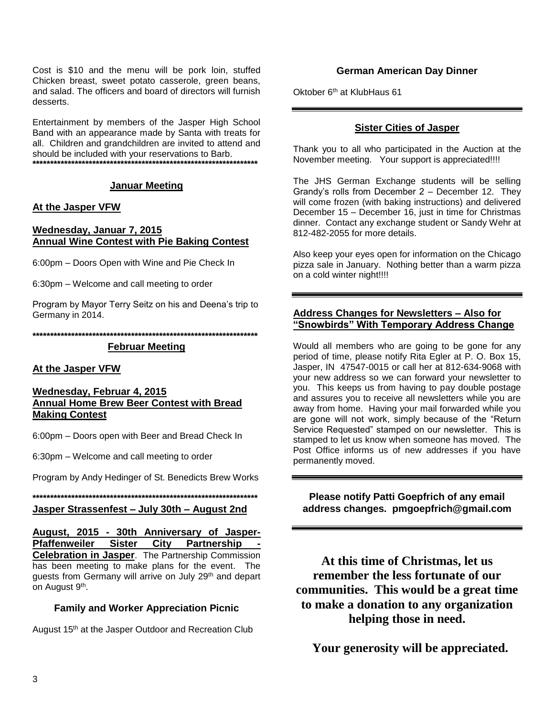Cost is \$10 and the menu will be pork loin, stuffed Chicken breast, sweet potato casserole, green beans, and salad. The officers and board of directors will furnish desserts.

Entertainment by members of the Jasper High School Band with an appearance made by Santa with treats for all. Children and grandchildren are invited to attend and should be included with your reservations to Barb. **\*\*\*\*\*\*\*\*\*\*\*\*\*\*\*\*\*\*\*\*\*\*\*\*\*\*\*\*\*\*\*\*\*\*\*\*\*\*\*\*\*\*\*\*\*\*\*\*\*\*\*\*\*\*\*\*\*\*\*\*\*\*\*\***

#### **Januar Meeting**

#### **At the Jasper VFW**

#### **Wednesday, Januar 7, 2015 Annual Wine Contest with Pie Baking Contest**

6:00pm – Doors Open with Wine and Pie Check In

6:30pm – Welcome and call meeting to order

Program by Mayor Terry Seitz on his and Deena's trip to Germany in 2014.

**\*\*\*\*\*\*\*\*\*\*\*\*\*\*\*\*\*\*\*\*\*\*\*\*\*\*\*\*\*\*\*\*\*\*\*\*\*\*\*\*\*\*\*\*\*\*\*\*\*\*\*\*\*\*\*\*\*\*\*\*\*\*\*\***

#### **Februar Meeting**

#### **At the Jasper VFW**

#### **Wednesday, Februar 4, 2015 Annual Home Brew Beer Contest with Bread Making Contest**

6:00pm – Doors open with Beer and Bread Check In

6:30pm – Welcome and call meeting to order

Program by Andy Hedinger of St. Benedicts Brew Works

**\*\*\*\*\*\*\*\*\*\*\*\*\*\*\*\*\*\*\*\*\*\*\*\*\*\*\*\*\*\*\*\*\*\*\*\*\*\*\*\*\*\*\*\*\*\*\*\*\*\*\*\*\*\*\*\*\*\*\*\*\*\*\*\***

**Jasper Strassenfest – July 30th – August 2nd**

**August, 2015 - 30th Anniversary of Jasper-Pfaffenweiler Sister City Partnership - Celebration in Jasper**. The Partnership Commission has been meeting to make plans for the event. The guests from Germany will arrive on July 29<sup>th</sup> and depart on August 9<sup>th</sup>.

#### **Family and Worker Appreciation Picnic**

August 15<sup>th</sup> at the Jasper Outdoor and Recreation Club

#### **German American Day Dinner**

Oktober 6<sup>th</sup> at KlubHaus 61

#### **Sister Cities of Jasper**

Thank you to all who participated in the Auction at the November meeting. Your support is appreciated!!!!

The JHS German Exchange students will be selling Grandy's rolls from December 2 – December 12. They will come frozen (with baking instructions) and delivered December 15 – December 16, just in time for Christmas dinner. Contact any exchange student or Sandy Wehr at 812-482-2055 for more details.

Also keep your eyes open for information on the Chicago pizza sale in January. Nothing better than a warm pizza on a cold winter night!!!!

#### **Address Changes for Newsletters – Also for "Snowbirds" With Temporary Address Change**

Would all members who are going to be gone for any period of time, please notify Rita Egler at P. O. Box 15, Jasper, IN 47547-0015 or call her at 812-634-9068 with your new address so we can forward your newsletter to you. This keeps us from having to pay double postage and assures you to receive all newsletters while you are away from home. Having your mail forwarded while you are gone will not work, simply because of the "Return Service Requested" stamped on our newsletter. This is stamped to let us know when someone has moved. The Post Office informs us of new addresses if you have permanently moved.

**Please notify Patti Goepfrich of any email address changes. pmgoepfrich@gmail.com**

**At this time of Christmas, let us remember the less fortunate of our communities. This would be a great time to make a donation to any organization helping those in need.**

 **Your generosity will be appreciated.**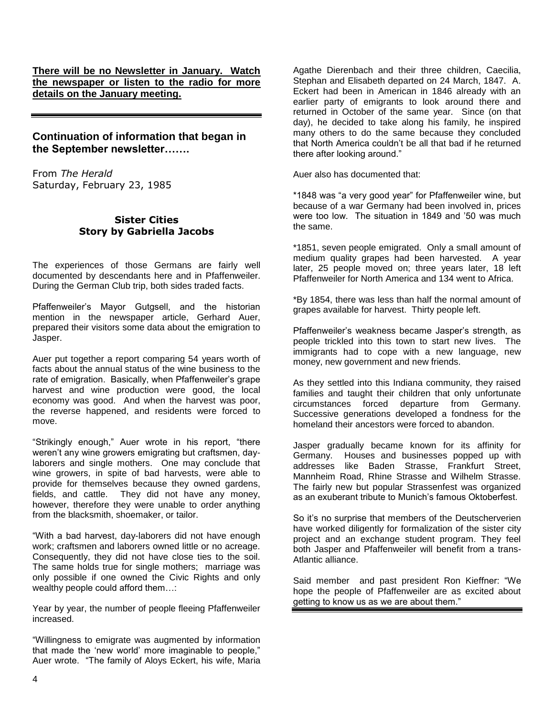**There will be no Newsletter in January. Watch the newspaper or listen to the radio for more details on the January meeting.**

# **Continuation of information that began in the September newsletter…….**

From *The Herald*  Saturday, February 23, 1985

# **Sister Cities Story by Gabriella Jacobs**

The experiences of those Germans are fairly well documented by descendants here and in Pfaffenweiler. During the German Club trip, both sides traded facts.

Pfaffenweiler's Mayor Gutgsell, and the historian mention in the newspaper article, Gerhard Auer, prepared their visitors some data about the emigration to Jasper.

Auer put together a report comparing 54 years worth of facts about the annual status of the wine business to the rate of emigration. Basically, when Pfaffenweiler's grape harvest and wine production were good, the local economy was good. And when the harvest was poor, the reverse happened, and residents were forced to move.

"Strikingly enough," Auer wrote in his report, "there weren't any wine growers emigrating but craftsmen, daylaborers and single mothers. One may conclude that wine growers, in spite of bad harvests, were able to provide for themselves because they owned gardens, fields, and cattle. They did not have any money, however, therefore they were unable to order anything from the blacksmith, shoemaker, or tailor.

"With a bad harvest, day-laborers did not have enough work; craftsmen and laborers owned little or no acreage. Consequently, they did not have close ties to the soil. The same holds true for single mothers; marriage was only possible if one owned the Civic Rights and only wealthy people could afford them…:

Year by year, the number of people fleeing Pfaffenweiler increased.

"Willingness to emigrate was augmented by information that made the 'new world' more imaginable to people," Auer wrote. "The family of Aloys Eckert, his wife, Maria

Agathe Dierenbach and their three children, Caecilia, Stephan and Elisabeth departed on 24 March, 1847. A. Eckert had been in American in 1846 already with an earlier party of emigrants to look around there and returned in October of the same year. Since (on that day), he decided to take along his family, he inspired many others to do the same because they concluded that North America couldn't be all that bad if he returned there after looking around."

Auer also has documented that:

\*1848 was "a very good year" for Pfaffenweiler wine, but because of a war Germany had been involved in, prices were too low. The situation in 1849 and '50 was much the same.

\*1851, seven people emigrated. Only a small amount of medium quality grapes had been harvested. A year later, 25 people moved on; three years later, 18 left Pfaffenweiler for North America and 134 went to Africa.

\*By 1854, there was less than half the normal amount of grapes available for harvest. Thirty people left.

Pfaffenweiler's weakness became Jasper's strength, as people trickled into this town to start new lives. The immigrants had to cope with a new language, new money, new government and new friends.

As they settled into this Indiana community, they raised families and taught their children that only unfortunate circumstances forced departure from Germany. Successive generations developed a fondness for the homeland their ancestors were forced to abandon.

Jasper gradually became known for its affinity for Germany. Houses and businesses popped up with addresses like Baden Strasse, Frankfurt Street, Mannheim Road, Rhine Strasse and Wilhelm Strasse. The fairly new but popular Strassenfest was organized as an exuberant tribute to Munich's famous Oktoberfest.

So it's no surprise that members of the Deutscherverien have worked diligently for formalization of the sister city project and an exchange student program. They feel both Jasper and Pfaffenweiler will benefit from a trans-Atlantic alliance.

Said member and past president Ron Kieffner: "We hope the people of Pfaffenweiler are as excited about getting to know us as we are about them."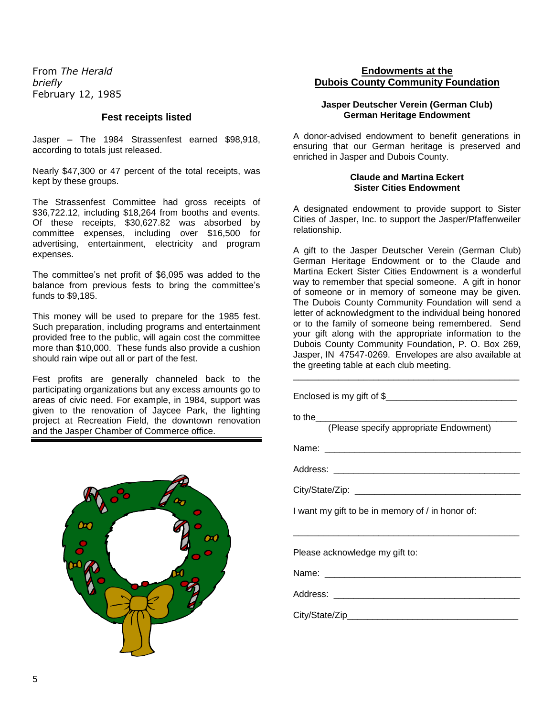From *The Herald briefly* February 12, 1985

#### **Fest receipts listed**

Jasper – The 1984 Strassenfest earned \$98,918, according to totals just released.

Nearly \$47,300 or 47 percent of the total receipts, was kept by these groups.

The Strassenfest Committee had gross receipts of \$36,722.12, including \$18,264 from booths and events. Of these receipts, \$30,627.82 was absorbed by committee expenses, including over \$16,500 for advertising, entertainment, electricity and program expenses.

The committee's net profit of \$6,095 was added to the balance from previous fests to bring the committee's funds to \$9,185.

This money will be used to prepare for the 1985 fest. Such preparation, including programs and entertainment provided free to the public, will again cost the committee more than \$10,000. These funds also provide a cushion should rain wipe out all or part of the fest.

Fest profits are generally channeled back to the participating organizations but any excess amounts go to areas of civic need. For example, in 1984, support was given to the renovation of Jaycee Park, the lighting project at Recreation Field, the downtown renovation and the Jasper Chamber of Commerce office.



## **Endowments at the Dubois County Community Foundation**

#### **Jasper Deutscher Verein (German Club) German Heritage Endowment**

A donor-advised endowment to benefit generations in ensuring that our German heritage is preserved and enriched in Jasper and Dubois County.

#### **Claude and Martina Eckert Sister Cities Endowment**

A designated endowment to provide support to Sister Cities of Jasper, Inc. to support the Jasper/Pfaffenweiler relationship.

A gift to the Jasper Deutscher Verein (German Club) German Heritage Endowment or to the Claude and Martina Eckert Sister Cities Endowment is a wonderful way to remember that special someone. A gift in honor of someone or in memory of someone may be given. The Dubois County Community Foundation will send a letter of acknowledgment to the individual being honored or to the family of someone being remembered. Send your gift along with the appropriate information to the Dubois County Community Foundation, P. O. Box 269, Jasper, IN 47547-0269. Envelopes are also available at the greeting table at each club meeting.

\_\_\_\_\_\_\_\_\_\_\_\_\_\_\_\_\_\_\_\_\_\_\_\_\_\_\_\_\_\_\_\_\_\_\_\_\_\_\_\_\_\_\_\_\_

| (Please specify appropriate Endowment)           |
|--------------------------------------------------|
|                                                  |
|                                                  |
|                                                  |
| I want my gift to be in memory of / in honor of: |
| Please acknowledge my gift to:                   |
|                                                  |
|                                                  |
|                                                  |